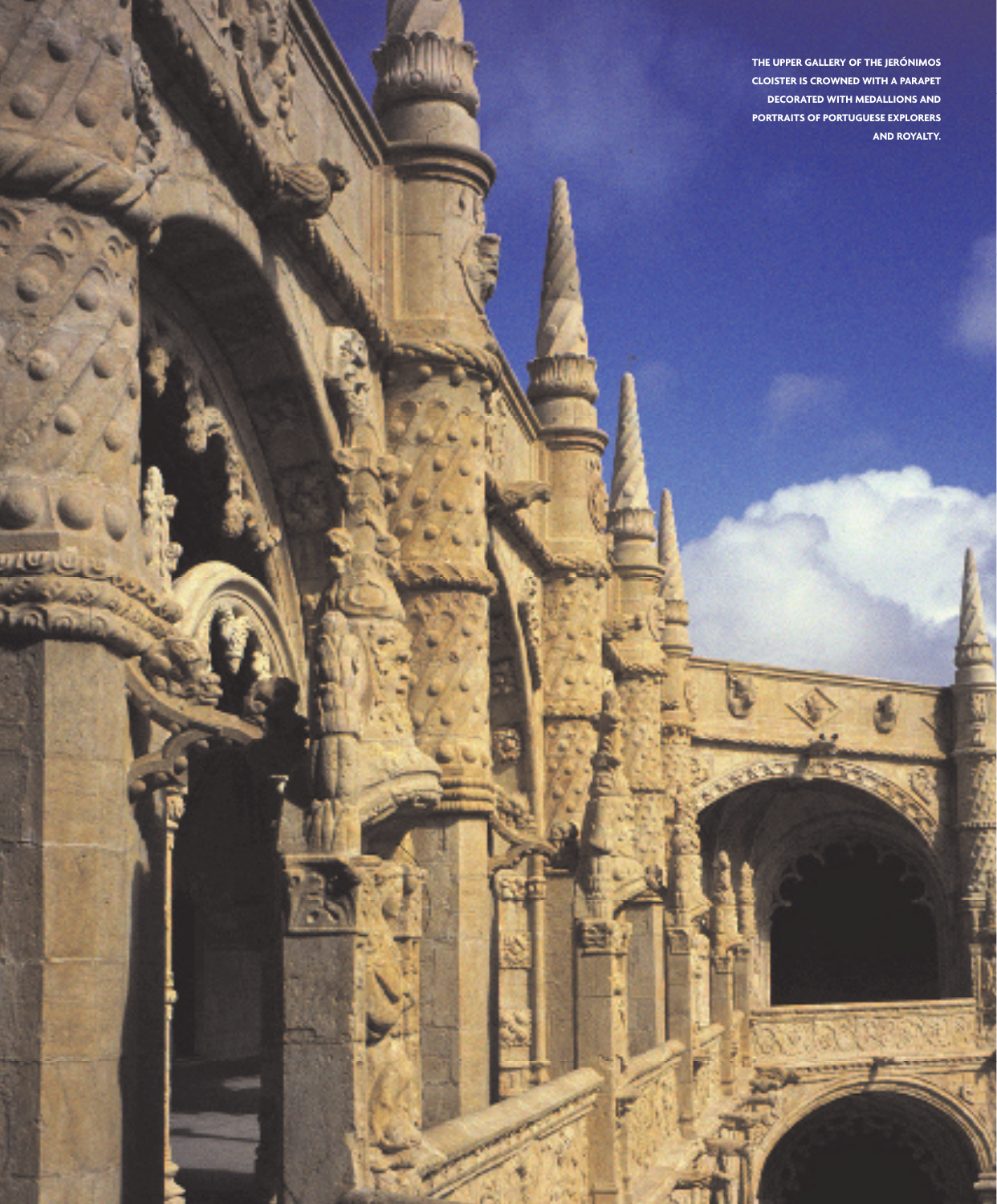**The upper Gallery of the Jerónimos Cloister is crowned with a parapet decorated with medallions and portraits of Portuguese explorers and royalty.**

**TITLE**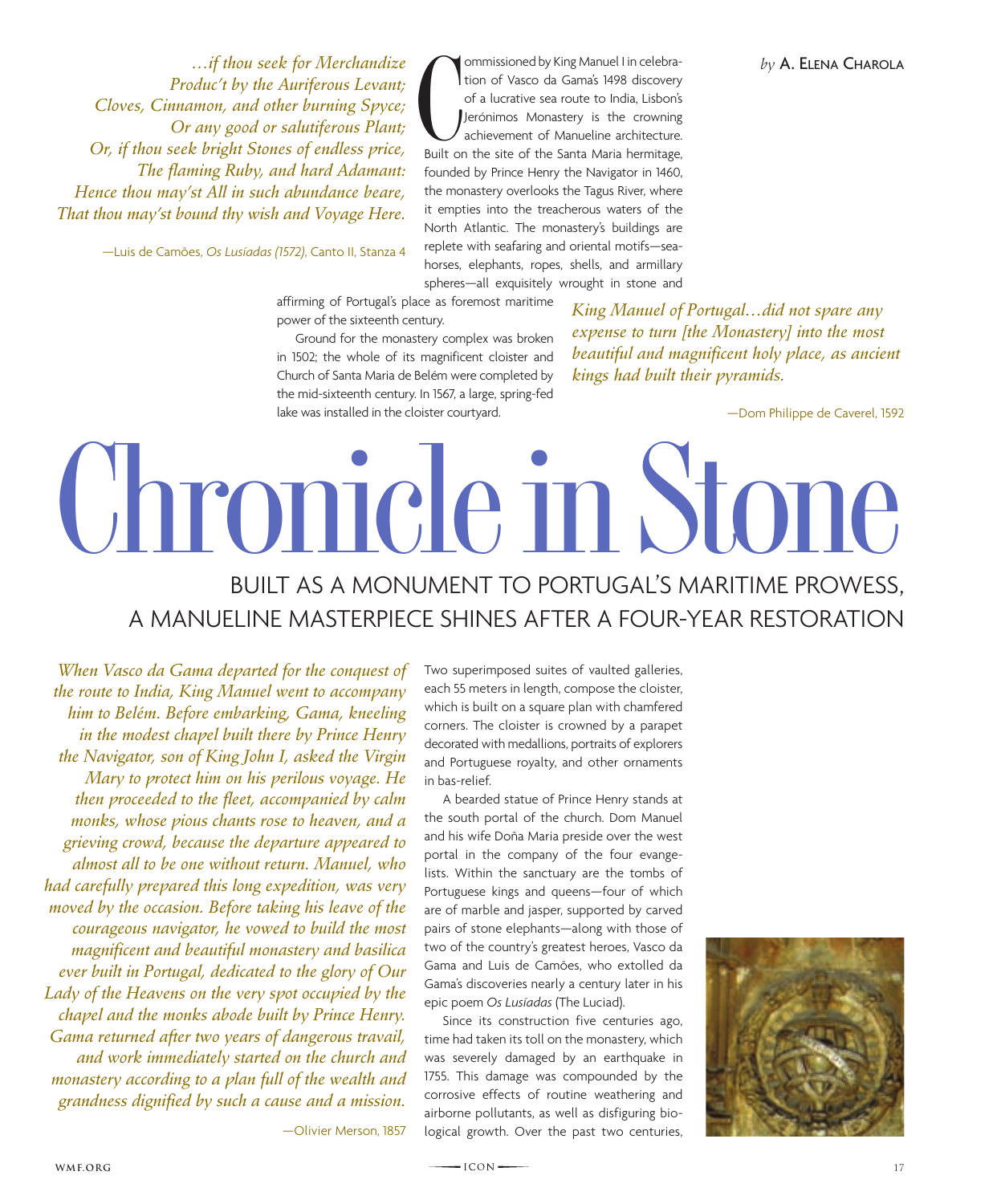*…if thou seek for Merchandize Produc't by the Auriferous Levant; Cloves, Cinnamon, and other burning Spyce; Or any good or salutiferous Plant; Or, if thou seek bright Stones of endless price, The flaming Ruby, and hard Adamant: Hence thou may'st All in such abundance beare, That thou may'st bound thy wish and Voyage Here.*

—Luis de Camões, *Os Lusíadas (1572)*, Canto II, Stanza 4

**C**<br>Built on ommissioned by King Manuel I in celebration of Vasco da Gama's 1498 discovery of a lucrative sea route to India, Lisbon's Jerónimos Monastery is the crowning achievement of Manueline architecture. Built on the site of the Santa Maria hermitage, founded by Prince Henry the Navigator in 1460, the monastery overlooks the Tagus River, where it empties into the treacherous waters of the North Atlantic. The monastery's buildings are replete with seafaring and oriental motifs—seahorses, elephants, ropes, shells, and armillary spheres—all exquisitely wrought in stone and

affirming of Portugal's place as foremost maritime power of the sixteenth century.

Ground for the monastery complex was broken in 1502; the whole of its magnificent cloister and Church of Santa Maria de Belém were completed by the mid-sixteenth century. In 1567, a large, spring-fed lake was installed in the cloister courtyard.

*King Manuel of Portugal…did not spare any expense to turn [the Monastery] into the most beautiful and magnificent holy place, as ancient kings had built their pyramids.*

—Dom Philippe de Caverel, 1592

## **Chronicle in Stone**  Built as a monument to Portugal's maritime prowess,

a manueline masterpiece shines After a four-year restoration

*When Vasco da Gama departed for the conquest of the route to India, King Manuel went to accompany him to Belém. Before embarking, Gama, kneeling in the modest chapel built there by Prince Henry the Navigator, son of King John I, asked the Virgin Mary to protect him on his perilous voyage. He then proceeded to the fleet, accompanied by calm monks, whose pious chants rose to heaven, and a grieving crowd, because the departure appeared to almost all to be one without return. Manuel, who had carefully prepared this long expedition, was very moved by the occasion. Before taking his leave of the courageous navigator, he vowed to build the most magnificent and beautiful monastery and basilica ever built in Portugal, dedicated to the glory of Our Lady of the Heavens on the very spot occupied by the chapel and the monks abode built by Prince Henry. Gama returned after two years of dangerous travail, and work immediately started on the church and monastery according to a plan full of the wealth and grandness dignified by such a cause and a mission.*

Two superimposed suites of vaulted galleries, each 55 meters in length, compose the cloister, which is built on a square plan with chamfered corners. The cloister is crowned by a parapet decorated with medallions, portraits of explorers and Portuguese royalty, and other ornaments in bas-relief.

A bearded statue of Prince Henry stands at the south portal of the church. Dom Manuel and his wife Doña Maria preside over the west portal in the company of the four evangelists. Within the sanctuary are the tombs of Portuguese kings and queens—four of which are of marble and jasper, supported by carved pairs of stone elephants—along with those of two of the country's greatest heroes, Vasco da Gama and Luis de Camões, who extolled da Gama's discoveries nearly a century later in his epic poem *Os Lusíadas* (The Luciad).

Since its construction five centuries ago, time had taken its toll on the monastery, which was severely damaged by an earthquake in 1755. This damage was compounded by the corrosive effects of routine weathering and airborne pollutants, as well as disfiguring biological growth. Over the past two centuries,

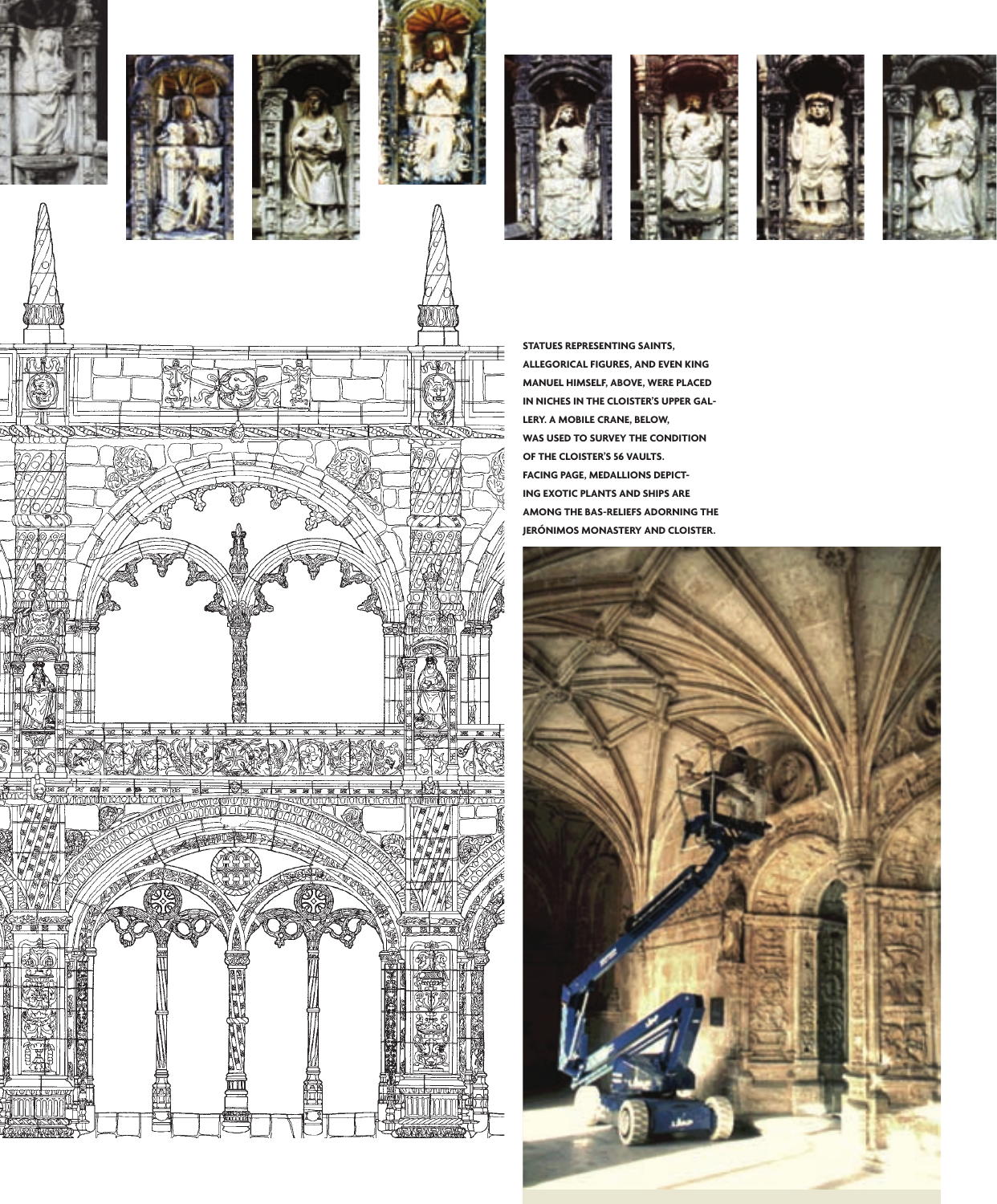













**Statues representing saints, allegorical figures, and even king Manuel himself, above, were placed in Niches in the Cloister's upper gallery. A mobile crane, below, was used to survey the condition of the cloister's 56 vaults. Facing page, Medallions depicting exotic plants and ships are among the bas-reliefs adorning the Jerónimos Monastery and cloister.**



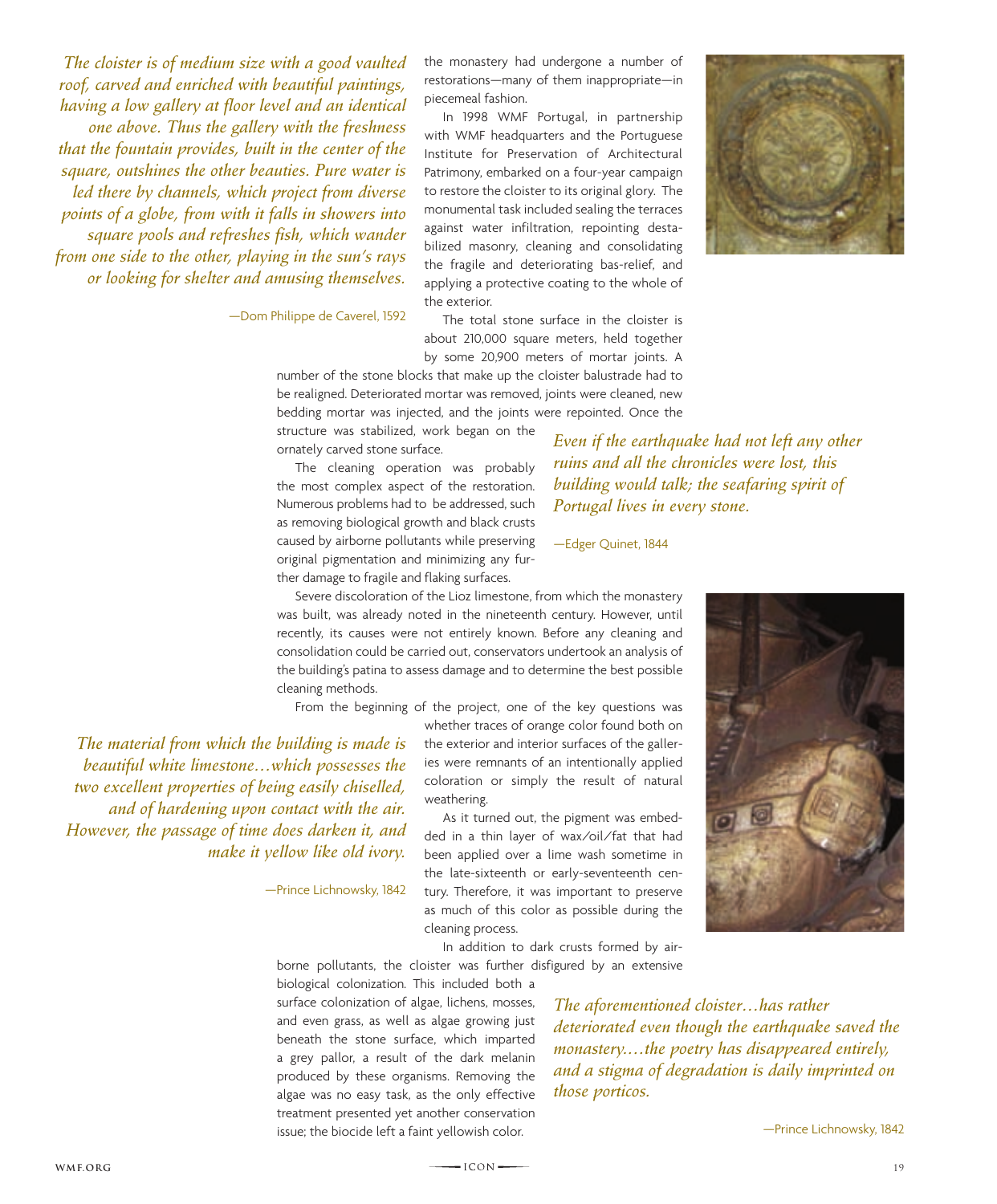*The cloister is of medium size with a good vaulted roof, carved and enriched with beautiful paintings, having a low gallery at floor level and an identical one above. Thus the gallery with the freshness that the fountain provides, built in the center of the square, outshines the other beauties. Pure water is led there by channels, which project from diverse points of a globe, from with it falls in showers into square pools and refreshes fish, which wander from one side to the other, playing in the sun's rays or looking for shelter and amusing themselves.*

—Dom Philippe de Caverel, 1592

the monastery had undergone a number of restorations—many of them inappropriate—in piecemeal fashion.

In 1998 WMF Portugal, in partnership with WMF headquarters and the Portuguese Institute for Preservation of Architectural Patrimony, embarked on a four-year campaign to restore the cloister to its original glory. The monumental task included sealing the terraces against water infiltration, repointing destabilized masonry, cleaning and consolidating the fragile and deteriorating bas-relief, and applying a protective coating to the whole of the exterior.

The total stone surface in the cloister is about 210,000 square meters, held together by some 20,900 meters of mortar joints. A

number of the stone blocks that make up the cloister balustrade had to be realigned. Deteriorated mortar was removed, joints were cleaned, new bedding mortar was injected, and the joints were repointed. Once the

structure was stabilized, work began on the ornately carved stone surface.

The cleaning operation was probably the most complex aspect of the restoration. Numerous problems had to be addressed, such as removing biological growth and black crusts caused by airborne pollutants while preserving original pigmentation and minimizing any further damage to fragile and flaking surfaces.

*Even if the earthquake had not left any other ruins and all the chronicles were lost, this building would talk; the seafaring spirit of Portugal lives in every stone.*

—Edger Quinet, 1844

Severe discoloration of the Lioz limestone, from which the monastery was built, was already noted in the nineteenth century. However, until recently, its causes were not entirely known. Before any cleaning and consolidation could be carried out, conservators undertook an analysis of the building's patina to assess damage and to determine the best possible cleaning methods.

From the beginning of the project, one of the key questions was

*The material from which the building is made is beautiful white limestone…which possesses the two excellent properties of being easily chiselled, and of hardening upon contact with the air. However, the passage of time does darken it, and make it yellow like old ivory.*

—Prince Lichnowsky, 1842

whether traces of orange color found both on the exterior and interior surfaces of the galleries were remnants of an intentionally applied coloration or simply the result of natural weathering.

As it turned out, the pigment was embedded in a thin layer of wax/oil/fat that had been applied over a lime wash sometime in the late-sixteenth or early-seventeenth century. Therefore, it was important to preserve as much of this color as possible during the cleaning process.



In addition to dark crusts formed by airborne pollutants, the cloister was further disfigured by an extensive

biological colonization. This included both a surface colonization of algae, lichens, mosses, and even grass, as well as algae growing just beneath the stone surface, which imparted a grey pallor, a result of the dark melanin produced by these organisms. Removing the algae was no easy task, as the only effective treatment presented yet another conservation issue; the biocide left a faint yellowish color.

*The aforementioned cloister…has rather deteriorated even though the earthquake saved the monastery.…the poetry has disappeared entirely, and a stigma of degradation is daily imprinted on those porticos.*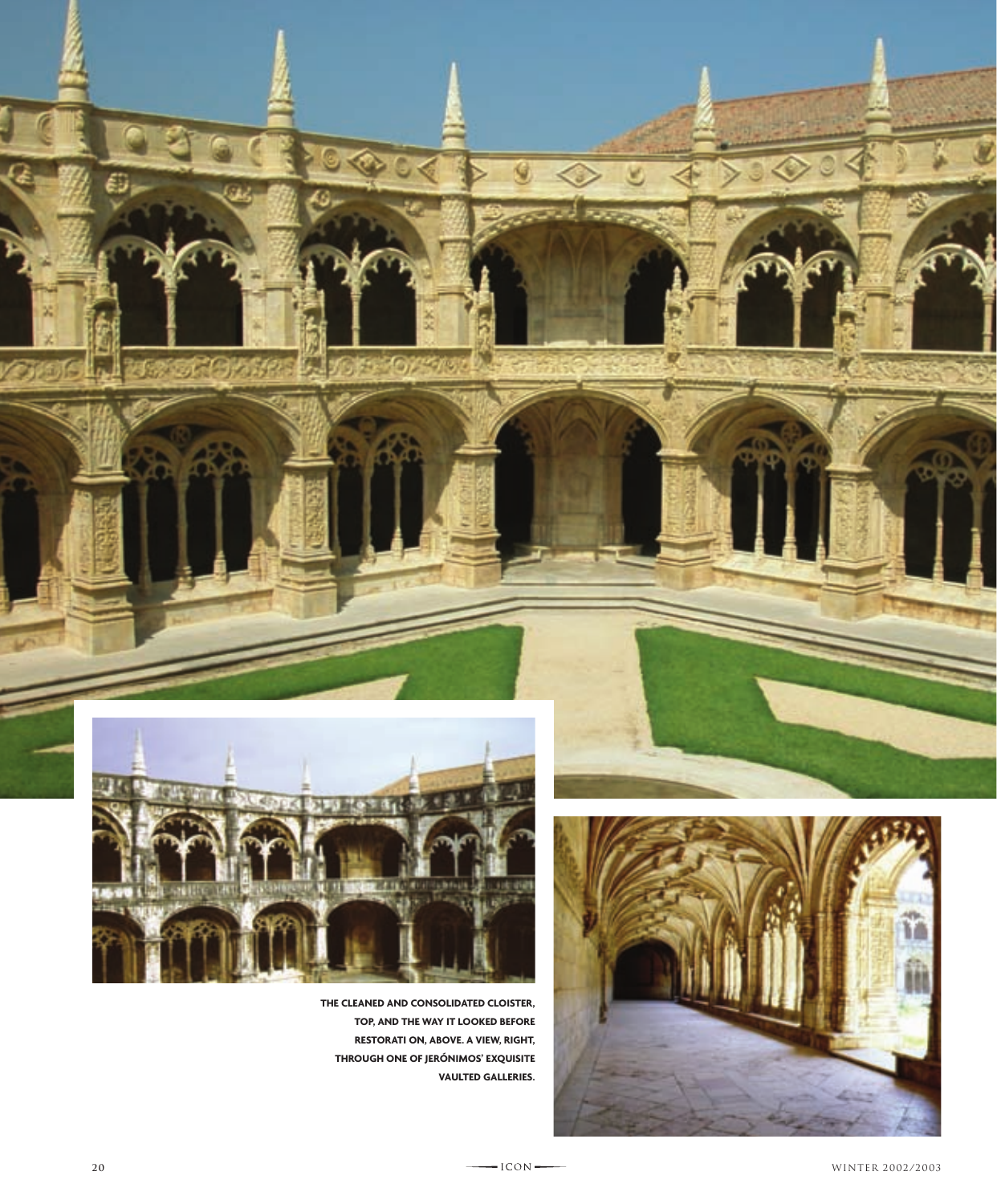





**top, and the way it looked before restorati on, above. A view, right, through one of Jerónimos' exquisite**